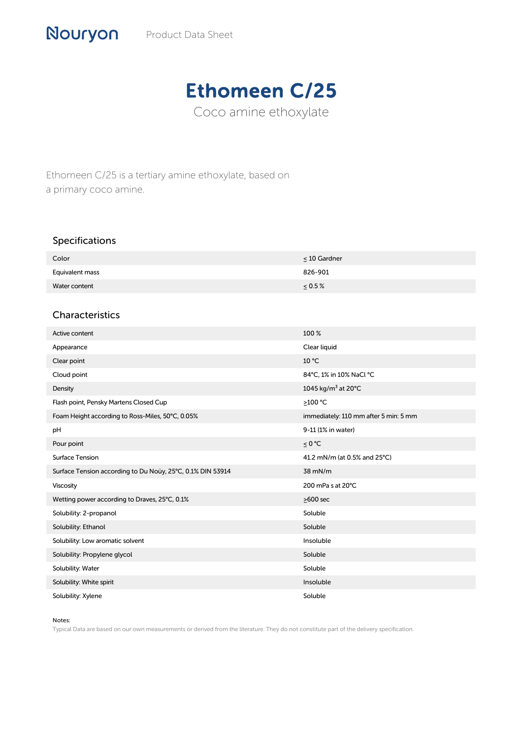## Ethomeen C/25

Coco amine ethoxylate

Ethomeen C/25 is a tertiary amine ethoxylate, based on a primary coco amine.

## Specifications

| Color           | $\leq 10$ Gardner |
|-----------------|-------------------|
| Equivalent mass | 826-901           |
| Water content   | $0.5\%$           |

## Characteristics

| Active content                                             | 100 %                                 |
|------------------------------------------------------------|---------------------------------------|
| Appearance                                                 | Clear liquid                          |
| Clear point                                                | 10 °C                                 |
| Cloud point                                                | 84°C, 1% in 10% NaCl °C               |
| Density                                                    | 1045 kg/m <sup>3</sup> at 20°C        |
| Flash point, Pensky Martens Closed Cup                     | >100 °C                               |
| Foam Height according to Ross-Miles, 50°C, 0.05%           | immediately: 110 mm after 5 min: 5 mm |
| pH                                                         | 9-11 (1% in water)                    |
| Pour point                                                 | ≤ 0 °C                                |
| Surface Tension                                            | 41.2 mN/m (at 0.5% and 25°C)          |
| Surface Tension according to Du Noüy, 25°C, 0.1% DIN 53914 | 38 mN/m                               |
| Viscosity                                                  | 200 mPa s at 20°C                     |
| Wetting power according to Draves, 25°C, 0.1%              | $\geq$ 600 sec                        |
| Solubility: 2-propanol                                     | Soluble                               |
| Solubility: Ethanol                                        | Soluble                               |
| Solubility: Low aromatic solvent                           | Insoluble                             |
| Solubility: Propylene glycol                               | Soluble                               |
| Solubility: Water                                          | Soluble                               |
| Solubility: White spirit                                   | Insoluble                             |
| Solubility: Xylene                                         | Soluble                               |

## Notes:

Typical Data are based on our own measurements or derived from the literature. They do not constitute part of the delivery specification.